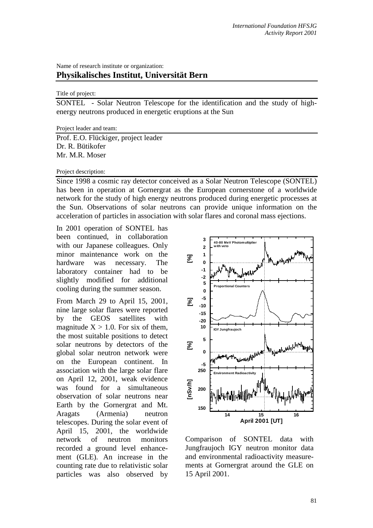# Name of research institute or organization:

## **Physikalisches Institut, Universität Bern**

### Title of project:

SONTEL - Solar Neutron Telescope for the identification and the study of highenergy neutrons produced in energetic eruptions at the Sun

#### Project leader and team:

Prof. E.O. Flückiger, project leader Dr. R. Bütikofer Mr. M.R. Moser

#### Project description:

Since 1998 a cosmic ray detector conceived as a Solar Neutron Telescope (SONTEL) has been in operation at Gornergrat as the European cornerstone of a worldwide network for the study of high energy neutrons produced during energetic processes at the Sun. Observations of solar neutrons can provide unique information on the acceleration of particles in association with solar flares and coronal mass ejections.

In 2001 operation of SONTEL has been continued, in collaboration with our Japanese colleagues. Only minor maintenance work on the hardware was necessary. The laboratory container had to be slightly modified for additional cooling during the summer season.

From March 29 to April 15, 2001, nine large solar flares were reported by the GEOS satellites with magnitude  $X > 1.0$ . For six of them, the most suitable positions to detect solar neutrons by detectors of the global solar neutron network were on the European continent. In association with the large solar flare on April 12, 2001, weak evidence was found for a simultaneous observation of solar neutrons near Earth by the Gornergrat and Mt. Aragats (Armenia) neutron telescopes. During the solar event of April 15, 2001, the worldwide network of neutron monitors recorded a ground level enhancement (GLE). An increase in the counting rate due to relativistic solar particles was also observed by



Comparison of SONTEL data with Jungfraujoch IGY neutron monitor data and environmental radioactivity measurements at Gornergrat around the GLE on 15 April 2001.